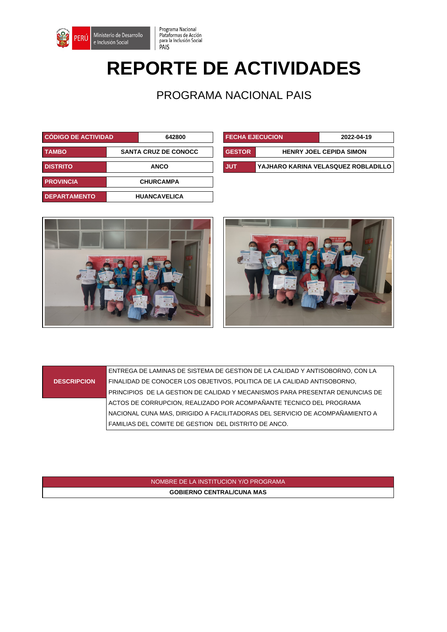

# **REPORTE DE ACTIVIDADES**

Programa Nacional

PAIS

Plataformas de Acción<br>para la Inclusión Social

PROGRAMA NACIONAL PAIS

| CÓDIGO DE ACTIVIDAD |  | 642800                      |               | <b>FECHA EJECUCION</b>         |                                |
|---------------------|--|-----------------------------|---------------|--------------------------------|--------------------------------|
| <b>TAMBO</b>        |  | <b>SANTA CRUZ DE CONOCC</b> | <b>GESTOR</b> |                                | <b>HENRY JOEL CEPIDA SIMON</b> |
| <b>DISTRITO</b>     |  | <b>ANCO</b>                 | <b>JUT</b>    | YAJHARO KARINA VELASQUEZ ROBLA |                                |
| <b>PROVINCIA</b>    |  | <b>CHURCAMPA</b>            |               |                                |                                |
| <b>DEPARTAMENTO</b> |  | <b>HUANCAVELICA</b>         |               |                                |                                |

| <b>CODIGO DE ACTIVIDAD</b> |             | 642800                      | <b>FECHA EJECUCION</b> |                                | 2022-04-19                          |
|----------------------------|-------------|-----------------------------|------------------------|--------------------------------|-------------------------------------|
| TAMBO                      |             | <b>SANTA CRUZ DE CONOCC</b> |                        | <b>HENRY JOEL CEPIDA SIMON</b> |                                     |
| <b>DISTRITO</b>            | <b>ANCO</b> |                             | I JUT                  |                                | YAJHARO KARINA VELASQUEZ ROBLADILLO |





#### **DESCRIPCION** ENTREGA DE LAMINAS DE SISTEMA DE GESTION DE LA CALIDAD Y ANTISOBORNO, CON LA FINALIDAD DE CONOCER LOS OBJETIVOS, POLITICA DE LA CALIDAD ANTISOBORNO, PRINCIPIOS DE LA GESTION DE CALIDAD Y MECANISMOS PARA PRESENTAR DENUNCIAS DE ACTOS DE CORRUPCION, REALIZADO POR ACOMPAÑANTE TECNICO DEL PROGRAMA NACIONAL CUNA MAS, DIRIGIDO A FACILITADORAS DEL SERVICIO DE ACOMPAÑAMIENTO A FAMILIAS DEL COMITE DE GESTION DEL DISTRITO DE ANCO.

### NOMBRE DE LA INSTITUCION Y/O PROGRAMA **GOBIERNO CENTRAL/CUNA MAS**